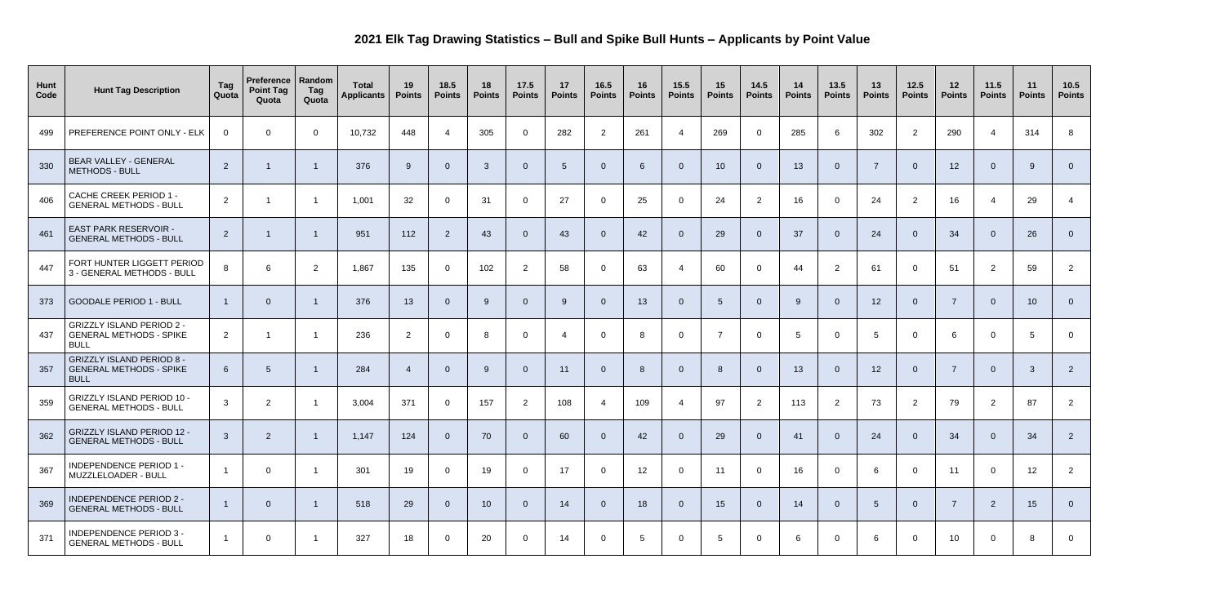## **2021 Elk Tag Drawing Statistics – Bull and Spike Bull Hunts – Applicants by Point Value**

| Hunt<br>Code | <b>Hunt Tag Description</b>                                                       | Tag<br>Quota   | Preference   Random<br><b>Point Tag</b><br>Quota | Tag<br>Quota         | <b>Total</b><br><b>Applicants</b> | 19<br><b>Points</b> | 18.5<br><b>Points</b> | 18<br><b>Points</b> | 17.5<br><b>Points</b> | 17<br><b>Points</b> | 16.5<br><b>Points</b> | 16<br><b>Points</b> | 15.5<br><b>Points</b> | 15<br><b>Points</b> | 14.5<br><b>Points</b> | 14<br><b>Points</b> | 13.5<br><b>Points</b> | 13<br><b>Points</b> | $12.5$<br><b>Points</b> | 12<br><b>Points</b> | 11.5<br><b>Points</b> | 11<br><b>Points</b> | 10.5<br><b>Points</b> |
|--------------|-----------------------------------------------------------------------------------|----------------|--------------------------------------------------|----------------------|-----------------------------------|---------------------|-----------------------|---------------------|-----------------------|---------------------|-----------------------|---------------------|-----------------------|---------------------|-----------------------|---------------------|-----------------------|---------------------|-------------------------|---------------------|-----------------------|---------------------|-----------------------|
| 499          | PREFERENCE POINT ONLY - ELK                                                       | $\overline{0}$ | $\Omega$                                         | $\overline{0}$       | 10,732                            | 448                 | -4                    | 305                 | $\overline{0}$        | 282                 | $\overline{2}$        | 261                 | 4                     | 269                 | $\overline{0}$        | 285                 | 6                     | 302                 | $\overline{2}$          | 290                 |                       | 314                 | 8                     |
| 330          | BEAR VALLEY - GENERAL<br><b>METHODS - BULL</b>                                    | $\overline{2}$ |                                                  |                      | 376                               | -9                  | $\overline{0}$        | $\overline{3}$      | $\overline{0}$        | 5                   | $\overline{0}$        | 6                   | $\overline{0}$        | 10                  | $\overline{0}$        | 13                  | $\overline{0}$        | -7                  | $\overline{0}$          | 12                  | $\Omega$              | -9                  | $\overline{0}$        |
| 406          | <b>CACHE CREEK PERIOD 1 -</b><br><b>GENERAL METHODS - BULL</b>                    | $\overline{2}$ |                                                  | $\overline{1}$       | 1,001                             | 32                  | $\mathbf 0$           | 31                  | $\overline{0}$        | 27                  | $\overline{0}$        | 25                  | $\overline{0}$        | 24                  | $\overline{2}$        | 16                  | $\overline{0}$        | 24                  | $\overline{2}$          | 16                  |                       | 29                  |                       |
| 461          | <b>EAST PARK RESERVOIR -</b><br><b>GENERAL METHODS - BULL</b>                     | $2^{\circ}$    |                                                  |                      | 951                               | 112                 | $\overline{2}$        | 43                  | $\overline{0}$        | 43                  | $\overline{0}$        | 42                  | $\overline{0}$        | 29                  | $\overline{0}$        | 37                  | $\overline{0}$        | 24                  | $\overline{0}$          | 34                  | $\Omega$              | 26                  | $\overline{0}$        |
| 447          | FORT HUNTER LIGGETT PERIOD<br>3 - GENERAL METHODS - BULL                          | 8              | 6                                                | $\overline{2}$       | 1,867                             | 135                 | $\overline{0}$        | 102                 | 2                     | 58                  | $\overline{0}$        | 63                  | 4                     | 60                  | $\overline{0}$        | 44                  | $\overline{2}$        | 61                  | $\overline{0}$          | 51                  | $\overline{2}$        | 59                  | $\overline{2}$        |
| 373          | <b>GOODALE PERIOD 1 - BULL</b>                                                    |                | $\Omega$                                         |                      | 376                               | 13                  | $\overline{0}$        | 9                   | $\overline{0}$        | -9                  | $\overline{0}$        | 13                  | $\Omega$              | $5\overline{5}$     | $\Omega$              | 9                   | $\Omega$              | 12                  | $\overline{0}$          | -7                  | $\Omega$              | 10 <sup>°</sup>     | $\overline{0}$        |
| 437          | <b>GRIZZLY ISLAND PERIOD 2 -</b><br><b>GENERAL METHODS - SPIKE</b><br><b>BULL</b> | $\overline{2}$ |                                                  |                      | 236                               | $\overline{2}$      | $\overline{0}$        | 8                   | $\Omega$              |                     | $\overline{0}$        | 8                   | $\overline{0}$        | $\overline{7}$      | $\overline{0}$        | 5                   | $\overline{0}$        | -5                  | $\overline{0}$          | 6                   | $\Omega$              | -5                  | $\overline{0}$        |
| 357          | <b>GRIZZLY ISLAND PERIOD 8 -</b><br><b>GENERAL METHODS - SPIKE</b><br><b>BULL</b> | 6              | -5                                               |                      | 284                               | $\overline{4}$      | $\overline{0}$        | 9                   | $\overline{0}$        | 11                  | $\overline{0}$        | 8                   | $\Omega$              | 8                   | $\overline{0}$        | 13                  | $\overline{0}$        | 12                  | $\overline{0}$          | -7                  | $\Omega$              | -3                  | $\overline{2}$        |
| 359          | <b>GRIZZLY ISLAND PERIOD 10 -</b><br><b>GENERAL METHODS - BULL</b>                | $\mathbf{3}$   | $\overline{2}$                                   |                      | 3,004                             | 371                 | $\mathbf 0$           | 157                 | 2                     | 108                 | -4                    | 109                 | -4                    | 97                  | $\overline{2}$        | 113                 | 2                     | 73                  | $\overline{2}$          | 79                  | $\overline{2}$        | 87                  | $\overline{2}$        |
| 362          | <b>GRIZZLY ISLAND PERIOD 12 -</b><br><b>GENERAL METHODS - BULL</b>                | $\mathbf{3}$   | $\overline{2}$                                   | $\overline{1}$       | 1,147                             | 124                 | $\overline{0}$        | 70                  | $\overline{0}$        | 60                  | $\overline{0}$        | 42                  | $\overline{0}$        | 29                  | $\overline{0}$        | 41                  | $\overline{0}$        | 24                  | $\overline{0}$          | 34                  | $\overline{0}$        | 34                  | $\overline{2}$        |
| 367          | <b>INDEPENDENCE PERIOD 1 -</b><br>MUZZLELOADER - BULL                             |                | $\mathbf 0$                                      | $\overline{1}$       | 301                               | 19                  | $\overline{0}$        | 19                  | $\overline{0}$        | 17                  | $\overline{0}$        | 12                  | $\overline{0}$        | 11                  | $\overline{0}$        | 16                  | $\overline{0}$        | 6                   | $\overline{0}$          | 11                  | $\overline{0}$        | 12 <sup>2</sup>     | $\overline{2}$        |
| 369          | <b>INDEPENDENCE PERIOD 2 -</b><br><b>GENERAL METHODS - BULL</b>                   |                | $\overline{0}$                                   | $\overline{1}$       | 518                               | 29                  | $\overline{0}$        | 10                  | $\overline{0}$        | 14                  | $\overline{0}$        | 18                  | $\overline{0}$        | 15                  | $\overline{0}$        | 14                  | $\overline{0}$        | 5                   | $\overline{0}$          | $\overline{7}$      | $\overline{2}$        | 15                  | $\overline{0}$        |
| 371          | <b>INDEPENDENCE PERIOD 3 -</b><br><b>GENERAL METHODS - BULL</b>                   |                | $\overline{0}$                                   | $\blacktriangleleft$ | 327                               | 18                  | $\overline{0}$        | 20                  | $\overline{0}$        | 14                  | $\overline{0}$        | $5\phantom{.0}$     | $\overline{0}$        | -5                  | $\overline{0}$        | 6                   | $\overline{0}$        | 6                   | $\overline{0}$          | 10 <sup>°</sup>     | $\overline{0}$        | 8                   | $\overline{0}$        |